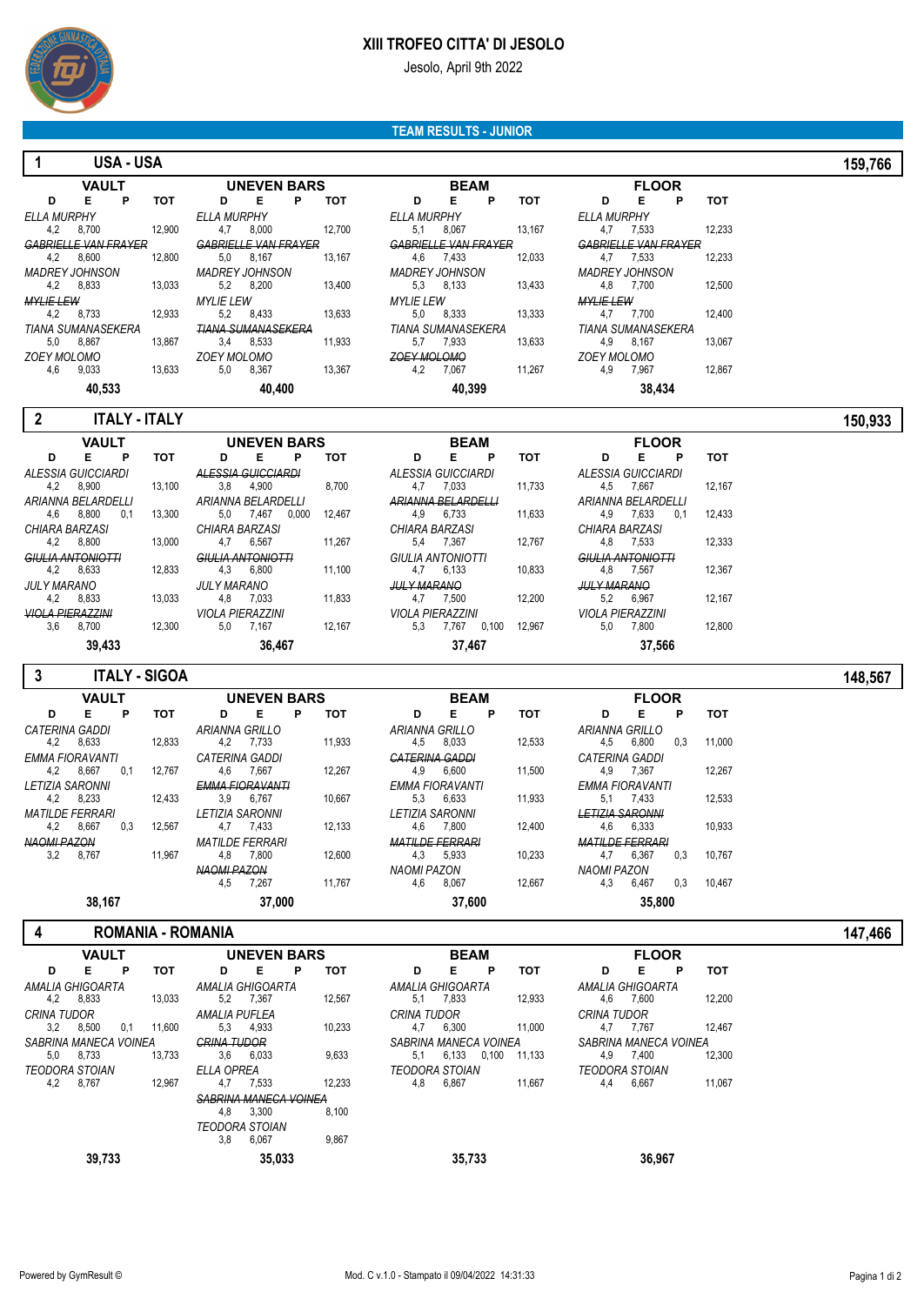

### **XIII TROFEO CITTA' DI JESOLO**

Jesolo, April 9th 2022

#### **TEAM RESULTS - JUNIOR**

#### **1 USA - USA 159,766**

|                             | <b>VAULT</b> |   |        |                               |               | <b>UNEVEN BARS</b> |        |                          |        |  |  |  |  |  |
|-----------------------------|--------------|---|--------|-------------------------------|---------------|--------------------|--------|--------------------------|--------|--|--|--|--|--|
| D                           | Е            | Р | тот    | D                             | Е             | P                  | тот    | D                        | Е      |  |  |  |  |  |
| <b>ELLA MURPHY</b>          |              |   |        | ELLA MURPHY                   |               |                    |        | ELLA MURPHY              |        |  |  |  |  |  |
| 4.2                         | 8.700        |   | 12.900 | 4.7                           | 8.000         |                    | 12.700 | 5,1                      | 8.067  |  |  |  |  |  |
| <b>GARRIELLE VAN ERAVER</b> |              |   |        | <u>GARRIEI I E VAN ERAVER</u> |               |                    |        | <u>GARRIELLE VAN ERJ</u> |        |  |  |  |  |  |
| 4.2                         | 8.600        |   | 12.800 | 5,0                           | 8.167         |                    | 13.167 | 4.6                      | 7.433  |  |  |  |  |  |
| <b>MADREY JOHNSON</b>       |              |   |        | <b>MADREY JOHNSON</b>         |               |                    |        | <b>MADREY JOHNSON</b>    |        |  |  |  |  |  |
| 4.2                         | 8.833        |   | 13.033 | 5,2                           | 8.200         |                    | 13.400 | 5,3                      | 8.133  |  |  |  |  |  |
| <b>MYLIE LEW</b>            |              |   |        | <i>MYLIE LEW</i>              |               |                    |        | <b>MYLIE LEW</b>         |        |  |  |  |  |  |
| 4,2                         | 8.733        |   | 12.933 | 5.2                           | 8.433         |                    | 13.633 | 5.0                      | 8,333  |  |  |  |  |  |
| <b>TIANA SUMANASEKERA</b>   |              |   |        | TIANA SUMANASEKERA            |               |                    |        | <b>TIANA SUMANASEKE</b>  |        |  |  |  |  |  |
| 5,0                         | 8,867        |   | 13,867 | 3,4                           | 8,533         |                    | 11.933 | 5,7                      | 7.933  |  |  |  |  |  |
| <b>ZOEY MOLOMO</b>          |              |   |        | <b>ZOEY MOLOMO</b>            |               |                    |        | <b>ZOEY MOLOMO</b>       |        |  |  |  |  |  |
| 4,6                         | 9,033        |   | 13,633 | 5,0                           | 8.367         |                    | 13,367 | 4,2                      | 7,067  |  |  |  |  |  |
|                             | 10.522       |   |        |                               | <b>AO ADD</b> |                    |        |                          | 40.200 |  |  |  |  |  |

| VAULT                   |            |                             | <b>UNEVEN BARS</b> |   |        |                             | <b>BEAM</b> |   |            |                    | <b>FLOOI</b>             |
|-------------------------|------------|-----------------------------|--------------------|---|--------|-----------------------------|-------------|---|------------|--------------------|--------------------------|
| Е<br>Р                  | <b>TOT</b> | D                           | Е                  | Р | тот    | D                           | Е           | P | <b>TOT</b> | D                  | Е                        |
| ЧY                      |            | <b>ELLA MURPHY</b>          |                    |   |        | <b>ELLA MURPHY</b>          |             |   |            | <b>ELLA MURPHY</b> |                          |
| .700                    | 12.900     | 4.7                         | 8.000              |   | 12.700 | 5.1                         | 8.067       |   | 13.167     | 4.7                | 7.533                    |
| <b>VAN FRAYER</b>       |            | <b>GARRIELLE VAN ERAYER</b> |                    |   |        | <b>GABRIELLE VAN FRAYER</b> |             |   |            |                    | <b>GABRIELLE VAN FR.</b> |
| .600                    | 12.800     | 5,0                         | 8.167              |   | 13.167 | 4.6                         | 7.433       |   | 12.033     | 4.7                | 7.533                    |
| HNSON                   |            | <b>MADREY JOHNSON</b>       |                    |   |        | <b>MADREY JOHNSON</b>       |             |   |            |                    | <b>MADREY JOHNSON</b>    |
| .833                    | 13,033     | 5,2                         | 8.200              |   | 13.400 | 5,3                         | 8.133       |   | 13.433     | 4.8                | 7.700                    |
|                         |            | <b>MYLIE LEW</b>            |                    |   |        | <b>MYLIE LEW</b>            |             |   |            | <b>MYLIE LEW</b>   |                          |
| .733                    | 12.933     | 5.2                         | 8.433              |   | 13.633 | 5.0                         | 8.333       |   | 13.333     | 4.7                | 7.700                    |
| <i><b>INASEKERA</b></i> |            | TIANA SUMANASEKERA          |                    |   |        | <b>TIANA SUMANASEKERA</b>   |             |   |            |                    | <b>TIANA SUMANASEK</b>   |
| .867                    | 13.867     | 3.4                         | 8.533              |   | 11.933 | 5.7                         | 7.933       |   | 13.633     | 4.9                | 8.167                    |
| MО                      |            | <b>ZOEY MOLOMO</b>          |                    |   |        | <b>ZOEY MOLOMO</b>          |             |   |            | <b>ZOEY MOLOMO</b> |                          |
| .033                    | 13.633     | 5.0                         | 8,367              |   | 13.367 | 4.2                         | 7,067       |   | 11.267     | 4.9                | 7,967                    |
| 40,533                  |            |                             | 40.400             |   |        |                             | 40.399      |   |            |                    | 38,434                   |

| - E                | Р                                                                    | тот                                                                                                         |
|--------------------|----------------------------------------------------------------------|-------------------------------------------------------------------------------------------------------------|
| FII A MURPHY       |                                                                      |                                                                                                             |
|                    |                                                                      | 12.233                                                                                                      |
|                    |                                                                      |                                                                                                             |
|                    |                                                                      | 12.233                                                                                                      |
|                    |                                                                      |                                                                                                             |
|                    |                                                                      | 12,500                                                                                                      |
|                    |                                                                      |                                                                                                             |
|                    |                                                                      | 12.400                                                                                                      |
|                    |                                                                      |                                                                                                             |
| 4.9 8.167          |                                                                      | 13,067                                                                                                      |
| <b>ZOEY MOLOMO</b> |                                                                      |                                                                                                             |
| 4.9 7.967          |                                                                      | 12.867                                                                                                      |
|                    |                                                                      |                                                                                                             |
|                    | 4.7 7.533<br>4.7 7.533<br>4.8 7.700<br><b>MYLIE LEW</b><br>4.7 7.700 | <b>FLOOR</b><br><b>GABRIELLE VAN FRAYER</b><br><b>MADREY JOHNSON</b><br><b>TIANA SUMANASEKERA</b><br>38.434 |

 **2 ITALY - ITALY 150,933**

| <b>VAULT</b>             |        |                          | <b>UNEVEN BARS</b> |       |        |                         | <b>BEAM</b> |       |        |                          | <b>FLOOR</b> |     |        |
|--------------------------|--------|--------------------------|--------------------|-------|--------|-------------------------|-------------|-------|--------|--------------------------|--------------|-----|--------|
| D<br>E.<br>P             | тот    | D                        | Е                  | Р     | тот    | D                       | Е           | P     | тот    | D                        | Е            | P   | тот    |
| ALESSIA GUICCIARDI       |        | ALESSIA GUICCIARDI       |                    |       |        | ALESSIA GUICCIARDI      |             |       |        | ALESSIA GUICCIARDI       |              |     |        |
| 8,900<br>4.2             | 13.100 | 3,8                      | 4,900              |       | 8,700  | 4.7                     | 7.033       |       | 11,733 | 4,5                      | 7.667        |     | 12,167 |
| ARIANNA BEI ARDEI I I    |        | ARIANNA BELARDELLI       |                    |       |        | ARIANNA BELARDELLI      |             |       |        | ARIANNA BELARDELLI       |              |     |        |
| 8,800<br>4.6<br>0.1      | 13,300 | 5.0                      | 7.467              | 0.000 | 12.467 | 4.9                     | 6.733       |       | 11,633 | 4.9                      | 7.633        | 0.1 | 12,433 |
| CHIARA BARZASI           |        | CHIARA BARZASI           |                    |       |        | CHIARA BARZASI          |             |       |        | CHIARA BARZASI           |              |     |        |
| 8.800<br>4.2             | 13.000 | 4.7                      | 6.567              |       | 11.267 | 5.4                     | 7.367       |       | 12.767 | 4.8                      | 7.533        |     | 12.333 |
| <b>GIULIA ANTONIOTTI</b> |        | <b>GIULIA ANTONIOTTI</b> |                    |       |        | GIULIA ANTONIOTTI       |             |       |        | <b>GIULIA ANTONIOTTI</b> |              |     |        |
| 8.633<br>4.2             | 12.833 | 4.3                      | 6.800              |       | 11.100 | 4.7                     | 6.133       |       | 10.833 | 4.8                      | 7.567        |     | 12.367 |
| <b>JULY MARANO</b>       |        | <b>JULY MARANO</b>       |                    |       |        | <b>JULY MARANO</b>      |             |       |        | <b>JULY MARANO</b>       |              |     |        |
| 8,833<br>4.2             | 13.033 | 4.8                      | 7.033              |       | 11.833 | 4.7                     | 7.500       |       | 12.200 | 5.2                      | 6,967        |     | 12.167 |
| <b>VIOLA PIERAZZINI</b>  |        | <b>VIOLA PIERAZZINI</b>  |                    |       |        | <b>VIOLA PIERAZZINI</b> |             |       |        | <b>VIOLA PIFRAZZINI</b>  |              |     |        |
| 8.700<br>3.6             | 12,300 | 5.0                      | 7.167              |       | 12,167 | 5.3                     | 7.767       | 0.100 | 12,967 | 5.0                      | 7.800        |     | 12.800 |
| 39,433                   |        |                          | 36.467             |       |        |                         | 37,467      |       |        |                          | 37,566       |     |        |

| 3                      |              |     | <b>ITALY - SIGOA</b> |                        |                    |   |        |                        |             |   |        |                        |              |     |        | 148,567 |  |
|------------------------|--------------|-----|----------------------|------------------------|--------------------|---|--------|------------------------|-------------|---|--------|------------------------|--------------|-----|--------|---------|--|
|                        | <b>VAULT</b> |     |                      |                        | <b>UNEVEN BARS</b> |   |        |                        | <b>BEAM</b> |   |        |                        | <b>FLOOR</b> |     |        |         |  |
| D                      | Е            | P   | тот                  | D                      | E                  | P | тот    | D                      | Е           | P | тот    | D                      | Е            | P   | тот    |         |  |
| <b>CATERINA GADDI</b>  |              |     |                      | ARIANNA GRILLO         |                    |   |        | ARIANNA GRILLO         |             |   |        | ARIANNA GRILLO         |              |     |        |         |  |
| 4.2                    | 8,633        |     | 12,833               | 4.2                    | 7.733              |   | 11,933 | 4.5                    | 8.033       |   | 12,533 | 4,5                    | 6,800        | 0.3 | 11.000 |         |  |
| <b>EMMA FIORAVANTI</b> |              |     |                      | CATERINA GADDI         |                    |   |        | <b>CATERINA GADDI</b>  |             |   |        | CATERINA GADDI         |              |     |        |         |  |
| 4.2                    | 8,667        | 0.1 | 12.767               | 4.6                    | 7.667              |   | 12,267 | 4.9                    | 6.600       |   | 11,500 | 4.9                    | 7.367        |     | 12,267 |         |  |
| <b>LETIZIA SARONNI</b> |              |     |                      | <b>EMMA FIORAVANTI</b> |                    |   |        | <b>EMMA FIORAVANTI</b> |             |   |        | <b>EMMA FIORAVANTI</b> |              |     |        |         |  |
| 4.2                    | 8,233        |     | 12,433               | 3,9                    | 6,767              |   | 10,667 | 5,3                    | 6,633       |   | 11,933 | 5,1                    | 7,433        |     | 12,533 |         |  |
| <b>MATILDE FERRARI</b> |              |     |                      | <b>LETIZIA SARONNI</b> |                    |   |        | <b>LETIZIA SARONNI</b> |             |   |        | <b>LETIZIA SARONNI</b> |              |     |        |         |  |
|                        | 4,2 8,667    | 0.3 | 12,567               | 4.7                    | 7.433              |   | 12,133 | 4,6                    | 7.800       |   | 12.400 | 4,6                    | 6,333        |     | 10.933 |         |  |
| <b>NAOMI PAZON</b>     |              |     |                      | <b>MATILDE FERRARI</b> |                    |   |        | <b>MATILDE FERRARI</b> |             |   |        | <b>MATILDE FERRARI</b> |              |     |        |         |  |
| 3.2                    | 8.767        |     | 11.967               | 4.8                    | 7.800              |   | 12,600 | 4,3                    | 5,933       |   | 10.233 | 4.7                    | 6.367        | 0.3 | 10.767 |         |  |
|                        |              |     |                      | <b>NAOMLPAZON</b>      |                    |   |        | <b>NAOMI PAZON</b>     |             |   |        | NAOMI PAZON            |              |     |        |         |  |
|                        |              |     |                      | 4.5                    | 7.267              |   | 11,767 | 4.6                    | 8,067       |   | 12.667 | 4.3                    | 6,467        | 0.3 | 10.467 |         |  |
|                        | 38,167       |     |                      |                        | 37,000             |   |        |                        | 37,600      |   |        |                        | 35,800       |     |        |         |  |

# **4 ROMANIA - ROMANIA 147,466**

|                       | <b>VAULT</b>          |     |        |                              | <b>UNEVEN BARS</b> |   |        |                       | <b>BEAM</b> |       |        |             | <b>FLOOR</b>          |   |        |
|-----------------------|-----------------------|-----|--------|------------------------------|--------------------|---|--------|-----------------------|-------------|-------|--------|-------------|-----------------------|---|--------|
| D                     | Е                     | P   | тот    | D                            | Е                  | P | тот    | D                     | Е           | P     | тот    | D           | Е                     | P | тот    |
| AMALIA GHIGOARTA      |                       |     |        | AMALIA GHIGOARTA             |                    |   |        | AMALIA GHIGOARTA      |             |       |        |             | AMALIA GHIGOARTA      |   |        |
| 4.2                   | 8.833                 |     | 13.033 | 5.2                          | 7.367              |   | 12,567 | 5.1                   | 7.833       |       | 12,933 | 4.6         | 7.600                 |   | 12.200 |
| CRINA TUDOR           |                       |     |        | AMALIA PUFLEA                |                    |   |        | CRINA TUDOR           |             |       |        | CRINA TUDOR |                       |   |        |
| 3.2                   | 8,500                 | 0.1 | 11.600 | 5.3                          | 4.933              |   | 10,233 | 4.7                   | 6.300       |       | 11.000 | 4.7         | 7.767                 |   | 12.467 |
| SABRINA MANECA VOINEA |                       |     |        | <b>CRINA TUDOR</b>           |                    |   |        | SABRINA MANECA VOINEA |             |       |        |             | SABRINA MANECA VOINEA |   |        |
| 5.0                   | 8.733                 |     | 13.733 | 3.6                          | 6.033              |   | 9.633  | 5.1                   | 6.133       | 0.100 | 11.133 | 4.9         | 7.400                 |   | 12.300 |
|                       | <b>TEODORA STOIAN</b> |     |        | <b>ELLA OPREA</b>            |                    |   |        | <b>TEODORA STOIAN</b> |             |       |        |             | <b>TEODORA STOIAN</b> |   |        |
| 4.2                   | 8,767                 |     | 12,967 | 4.7                          | 7,533              |   | 12,233 | 4.8                   | 6,867       |       | 11,667 | 4.4         | 6.667                 |   | 11.067 |
|                       |                       |     |        | <b>SABRINA MANECA VOINEA</b> |                    |   |        |                       |             |       |        |             |                       |   |        |
|                       |                       |     |        | 4.8                          | 3.300              |   | 8,100  |                       |             |       |        |             |                       |   |        |
|                       |                       |     |        | <b>TEODORA STOIAN</b>        |                    |   |        |                       |             |       |        |             |                       |   |        |
|                       |                       |     |        | 3.8                          | 6.067              |   | 9,867  |                       |             |       |        |             |                       |   |        |
|                       | 39,733                |     |        |                              | 35,033             |   |        |                       | 35.733      |       |        |             | 36.967                |   |        |